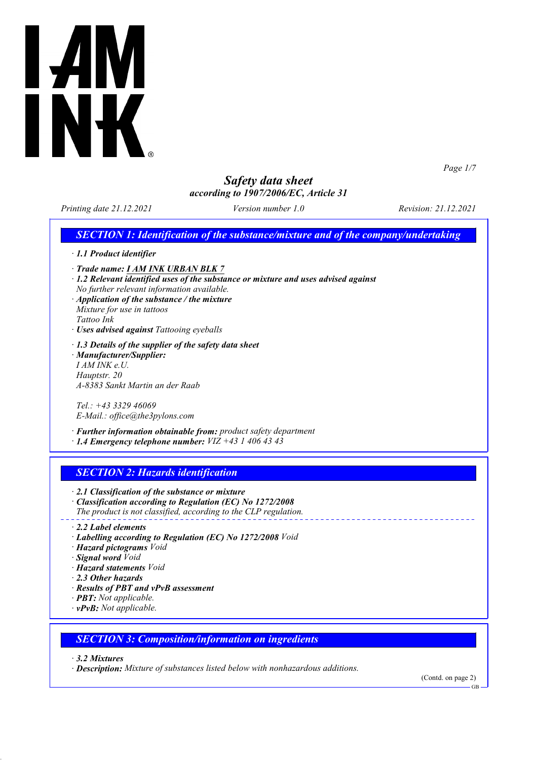

*Page 1/7*

## *Safety data sheet according to 1907/2006/EC, Article 31*

*Printing date 21.12.2021 Version number 1.0 Revision: 21.12.2021*

*SECTION 1: Identification of the substance/mixture and of the company/undertaking*

|  |  |  | $\cdot$ 1.1 Product identifier |
|--|--|--|--------------------------------|
|--|--|--|--------------------------------|

- *· Trade name: I AM INK URBAN BLK 7*
- *· 1.2 Relevant identified uses of the substance or mixture and uses advised against No further relevant information available.*
- *· Application of the substance / the mixture Mixture for use in tattoos Tattoo Ink*
- *· Uses advised against Tattooing eyeballs*
- *· 1.3 Details of the supplier of the safety data sheet · Manufacturer/Supplier: I AM INK e.U. Hauptstr. 20 A-8383 Sankt Martin an der Raab*

*Tel.: +43 3329 46069 E-Mail.: office@the3pylons.com*

*· Further information obtainable from: product safety department*

*· 1.4 Emergency telephone number: VIZ +43 1 406 43 43*

## *SECTION 2: Hazards identification*

*· 2.1 Classification of the substance or mixture*

- *· Classification according to Regulation (EC) No 1272/2008 The product is not classified, according to the CLP regulation.*
- 
- *· 2.2 Label elements*
- *· Labelling according to Regulation (EC) No 1272/2008 Void*
- *· Hazard pictograms Void*
- *· Signal word Void*
- *· Hazard statements Void*
- *· 2.3 Other hazards*
- *· Results of PBT and vPvB assessment*
- *· PBT: Not applicable.*
- *· vPvB: Not applicable.*

#### *SECTION 3: Composition/information on ingredients*

*· 3.2 Mixtures*

*· Description: Mixture of substances listed below with nonhazardous additions.*

(Contd. on page 2)

GB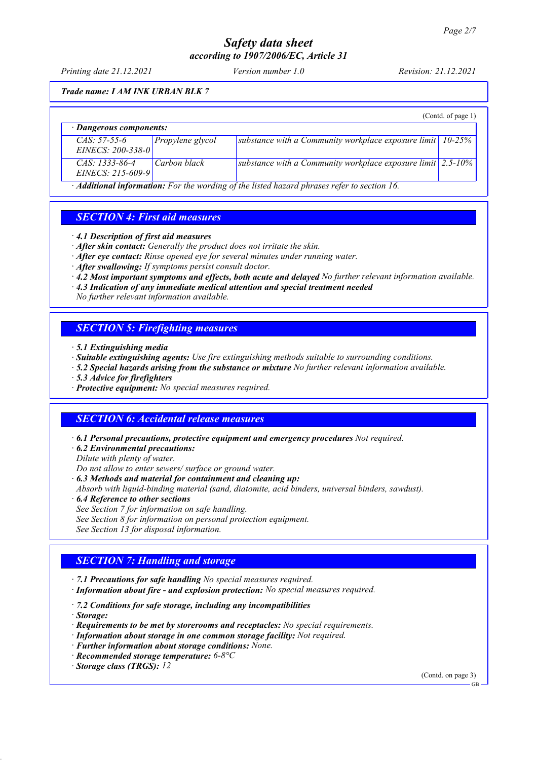*Printing date 21.12.2021 Version number 1.0 Revision: 21.12.2021*

*Trade name: I AM INK URBAN BLK 7*

|                                           |                  |                                                                     | (Contd. of page 1) |  |
|-------------------------------------------|------------------|---------------------------------------------------------------------|--------------------|--|
| $\cdot$ Dangerous components:             |                  |                                                                     |                    |  |
| $CAS: 57-55-6$<br>EINECS: $200 - 338 - 0$ | Propylene glycol | substance with a Community workplace exposure limit $10-25\%$       |                    |  |
| $CAS: 1333-86-4$<br>EINECS: 215-609-9     | Carbon black     | substance with a Community workplace exposure limit $\vert$ 2.5-10% |                    |  |

*· Additional information: For the wording of the listed hazard phrases refer to section 16.*

## *SECTION 4: First aid measures*

- *· 4.1 Description of first aid measures*
- *· After skin contact: Generally the product does not irritate the skin.*
- *· After eye contact: Rinse opened eye for several minutes under running water.*
- *· After swallowing: If symptoms persist consult doctor.*
- *· 4.2 Most important symptoms and effects, both acute and delayed No further relevant information available.*
- *· 4.3 Indication of any immediate medical attention and special treatment needed*
- *No further relevant information available.*

## *SECTION 5: Firefighting measures*

- *· 5.1 Extinguishing media*
- *· Suitable extinguishing agents: Use fire extinguishing methods suitable to surrounding conditions.*
- *· 5.2 Special hazards arising from the substance or mixture No further relevant information available.*
- *· 5.3 Advice for firefighters*
- *· Protective equipment: No special measures required.*

#### *SECTION 6: Accidental release measures*

- *· 6.1 Personal precautions, protective equipment and emergency procedures Not required.*
- *· 6.2 Environmental precautions:*

*Dilute with plenty of water.*

*Do not allow to enter sewers/ surface or ground water.*

- *· 6.3 Methods and material for containment and cleaning up:*
- *Absorb with liquid-binding material (sand, diatomite, acid binders, universal binders, sawdust).*
- *· 6.4 Reference to other sections*
- *See Section 7 for information on safe handling.*
- *See Section 8 for information on personal protection equipment.*
- *See Section 13 for disposal information.*

#### *SECTION 7: Handling and storage*

- *· 7.1 Precautions for safe handling No special measures required.*
- *· Information about fire and explosion protection: No special measures required.*
- *· 7.2 Conditions for safe storage, including any incompatibilities*
- *· Storage:*
- *· Requirements to be met by storerooms and receptacles: No special requirements.*
- *· Information about storage in one common storage facility: Not required.*
- *· Further information about storage conditions: None.*
- *· Recommended storage temperature: 6-8°C*
- *· Storage class (TRGS): 12*

(Contd. on page 3)

GB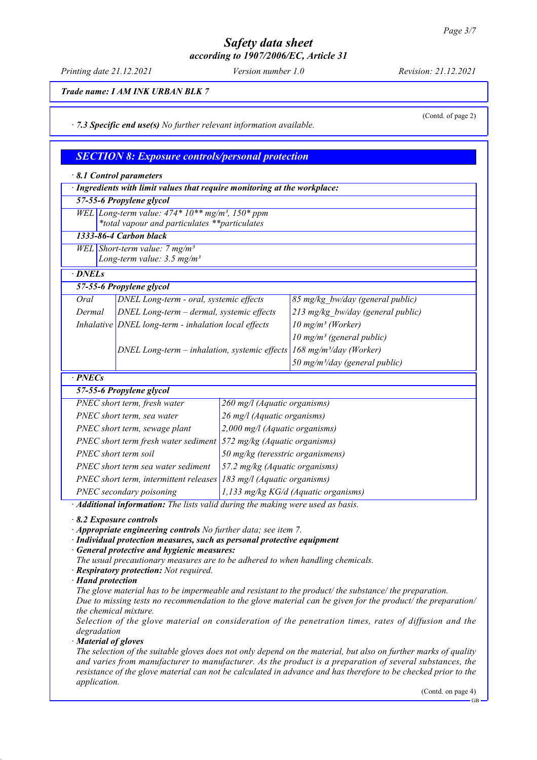*Printing date 21.12.2021 Version number 1.0 Revision: 21.12.2021*

*Trade name: I AM INK URBAN BLK 7*

*· 7.3 Specific end use(s) No further relevant information available.*

(Contd. of page 2)

*SECTION 8: Exposure controls/personal protection*

| 8.1 Control parameters                                                                                                                   |                                                                                 |                                                                                            |                                                                                                        |  |  |
|------------------------------------------------------------------------------------------------------------------------------------------|---------------------------------------------------------------------------------|--------------------------------------------------------------------------------------------|--------------------------------------------------------------------------------------------------------|--|--|
| · Ingredients with limit values that require monitoring at the workplace:                                                                |                                                                                 |                                                                                            |                                                                                                        |  |  |
|                                                                                                                                          | 57-55-6 Propylene glycol                                                        |                                                                                            |                                                                                                        |  |  |
|                                                                                                                                          | WEL Long-term value: $474*10**mg/m^3$ , $150*ppm$                               |                                                                                            |                                                                                                        |  |  |
|                                                                                                                                          | *total vapour and particulates **particulates                                   |                                                                                            |                                                                                                        |  |  |
|                                                                                                                                          | 1333-86-4 Carbon black                                                          |                                                                                            |                                                                                                        |  |  |
|                                                                                                                                          | WEL Short-term value: $7 mg/m3$<br>Long-term value: $3.5$ mg/m <sup>3</sup>     |                                                                                            |                                                                                                        |  |  |
| · DNELs                                                                                                                                  |                                                                                 |                                                                                            |                                                                                                        |  |  |
|                                                                                                                                          | 57-55-6 Propylene glycol                                                        |                                                                                            |                                                                                                        |  |  |
| Oral                                                                                                                                     | DNEL Long-term - oral, systemic effects                                         |                                                                                            | 85 mg/kg bw/day (general public)                                                                       |  |  |
| Dermal                                                                                                                                   | DNEL Long-term - dermal, systemic effects                                       |                                                                                            | 213 mg/kg bw/day (general public)                                                                      |  |  |
|                                                                                                                                          | Inhalative DNEL long-term - inhalation local effects                            |                                                                                            | $10$ mg/m <sup>3</sup> (Worker)                                                                        |  |  |
|                                                                                                                                          | DNEL Long-term - inhalation, systemic effects                                   |                                                                                            | $10$ mg/m <sup>3</sup> (general public)                                                                |  |  |
|                                                                                                                                          |                                                                                 |                                                                                            | $168$ mg/m <sup>3</sup> /day (Worker)                                                                  |  |  |
|                                                                                                                                          |                                                                                 |                                                                                            | 50 mg/m <sup>3</sup> /day (general public)                                                             |  |  |
| $\cdot$ PNECs                                                                                                                            |                                                                                 |                                                                                            |                                                                                                        |  |  |
|                                                                                                                                          | 57-55-6 Propylene glycol                                                        |                                                                                            |                                                                                                        |  |  |
|                                                                                                                                          | PNEC short term, fresh water                                                    | 260 mg/l (Aquatic organisms)                                                               |                                                                                                        |  |  |
|                                                                                                                                          | PNEC short term, sea water                                                      | 26 mg/l (Aquatic organisms)                                                                |                                                                                                        |  |  |
|                                                                                                                                          | PNEC short term, sewage plant                                                   | 2,000 mg/l (Aquatic organisms)                                                             |                                                                                                        |  |  |
|                                                                                                                                          |                                                                                 | PNEC short term fresh water sediment $\frac{572 \text{ mg/kg}}{4\text{ quatic organisms}}$ |                                                                                                        |  |  |
| PNEC short term soil                                                                                                                     |                                                                                 | 50 mg/kg (teresstric organismens)                                                          |                                                                                                        |  |  |
|                                                                                                                                          | PNEC short term sea water sediment                                              | 57.2 mg/kg (Aquatic organisms)                                                             |                                                                                                        |  |  |
|                                                                                                                                          |                                                                                 | PNEC short term, intermittent releases 183 mg/l (Aquatic organisms)                        |                                                                                                        |  |  |
| PNEC secondary poisoning                                                                                                                 |                                                                                 | 1,133 mg/kg KG/d (Aquatic organisms)                                                       |                                                                                                        |  |  |
|                                                                                                                                          | · Additional information: The lists valid during the making were used as basis. |                                                                                            |                                                                                                        |  |  |
| 8.2 Exposure controls                                                                                                                    |                                                                                 |                                                                                            |                                                                                                        |  |  |
| Appropriate engineering controls No further data; see item 7.<br>· Individual protection measures, such as personal protective equipment |                                                                                 |                                                                                            |                                                                                                        |  |  |
|                                                                                                                                          |                                                                                 |                                                                                            |                                                                                                        |  |  |
| · General protective and hygienic measures:<br>The usual precautionary measures are to be adhered to when handling chemicals.            |                                                                                 |                                                                                            |                                                                                                        |  |  |
|                                                                                                                                          | · Respiratory protection: Not required.                                         |                                                                                            |                                                                                                        |  |  |
|                                                                                                                                          | $\cdot$ Hand protection                                                         |                                                                                            |                                                                                                        |  |  |
|                                                                                                                                          |                                                                                 |                                                                                            | The glove material has to be impermeable and resistant to the product/ the substance/ the preparation. |  |  |

*Due to missing tests no recommendation to the glove material can be given for the product/ the preparation/ the chemical mixture.*

*Selection of the glove material on consideration of the penetration times, rates of diffusion and the degradation*

*· Material of gloves*

*The selection of the suitable gloves does not only depend on the material, but also on further marks of quality and varies from manufacturer to manufacturer. As the product is a preparation of several substances, the resistance of the glove material can not be calculated in advance and has therefore to be checked prior to the application.*

(Contd. on page 4)

GB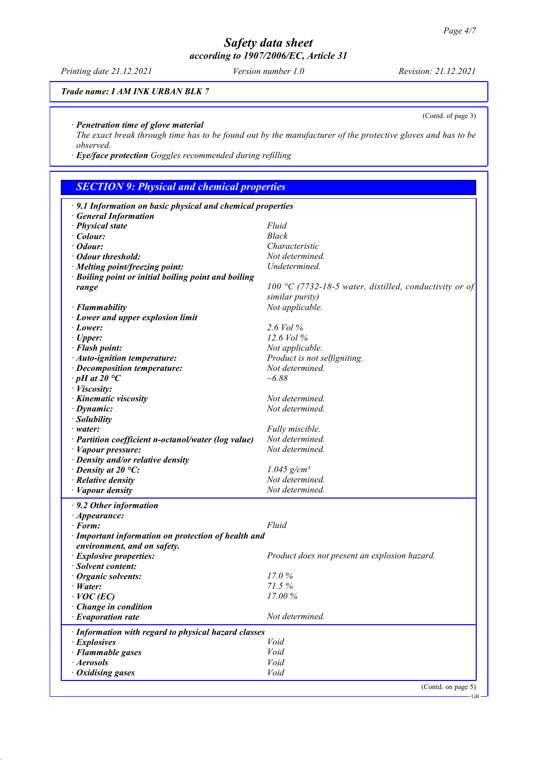*Printing date 21.12.2021 Version number 1.0 Revision: 21.12.2021*

*Trade name: I AM INK URBAN BLK 7*

*· Penetration time of glove material*

*The exact break through time has to be found out by the manufacturer of the protective gloves and has to be observed.*

*· Eye/face protection Goggles recommended during refilling*

# *SECTION 9: Physical and chemical properties*

| $\cdot$ 9.1 Information on basic physical and chemical properties |                                                        |  |
|-------------------------------------------------------------------|--------------------------------------------------------|--|
| <b>General Information</b>                                        |                                                        |  |
| · Physical state                                                  | Fluid                                                  |  |
| $\cdot$ Colour:                                                   | Black                                                  |  |
| $\cdot$ Odour:                                                    | Characteristic                                         |  |
| · Odour threshold:                                                | Not determined.                                        |  |
| · Melting point/freezing point:                                   | Undetermined.                                          |  |
| · Boiling point or initial boiling point and boiling              |                                                        |  |
| range                                                             | 100 °C (7732-18-5 water, distilled, conductivity or of |  |
|                                                                   | similar purity)                                        |  |
| · Flammability                                                    | Not applicable.                                        |  |
| $\cdot$ Lower and upper explosion limit                           |                                                        |  |
| · Lower:                                                          | 2.6 Vol %                                              |  |
| $\cdot$ Upper:                                                    | 12.6 Vol %                                             |  |
| · Flash point:                                                    | Not applicable.                                        |  |
| · Auto-ignition temperature:                                      | Product is not selfigniting.                           |  |
| · Decomposition temperature:                                      | Not determined.                                        |  |
| $\cdot$ pH at 20 $\degree$ C                                      | $~1 - 6.88$                                            |  |
| · Viscosity:                                                      |                                                        |  |
| · Kinematic viscosity                                             | Not determined.                                        |  |
| $\cdot$ Dynamic:                                                  | Not determined.                                        |  |
| · Solubility                                                      |                                                        |  |
| · water:                                                          | Fully miscible.                                        |  |
| · Partition coefficient n-octanol/water (log value)               | Not determined.                                        |  |
| $\cdot$ <i>Vapour pressure:</i>                                   | Not determined.                                        |  |
| $\cdot$ Density and/or relative density                           |                                                        |  |
| $\cdot$ Density at 20 °C:                                         | $1.045$ g/cm <sup>3</sup>                              |  |
| · Relative density                                                | Not determined.                                        |  |
| · Vapour density                                                  | Not determined.                                        |  |
|                                                                   |                                                        |  |
| $\cdot$ 9.2 Other information                                     |                                                        |  |
| $\cdot$ Appearance:                                               |                                                        |  |
| $\cdot$ Form:                                                     | Fluid                                                  |  |
| · Important information on protection of health and               |                                                        |  |
| environment, and on safety.                                       |                                                        |  |
| · Explosive properties:                                           | Product does not present an explosion hazard.          |  |
| · Solvent content:                                                |                                                        |  |
| $\cdot$ Organic solvents:                                         | 17.0%                                                  |  |
| $\cdot$ <i>Water</i> :                                            | 71.5%                                                  |  |
| $\cdot$ VOC (EC)                                                  | 17.00%                                                 |  |
| Change in condition                                               |                                                        |  |
| $\cdot$ Evaporation rate                                          | Not determined.                                        |  |
| · Information with regard to physical hazard classes              |                                                        |  |
| · Explosives                                                      | Void                                                   |  |
| · Flammable gases                                                 | Void                                                   |  |
| · Aerosols                                                        | Void                                                   |  |
| $\cdot$ Oxidising gases                                           | Void                                                   |  |
|                                                                   | (Contd. on page 5)                                     |  |

GB

#### (Contd. of page 3)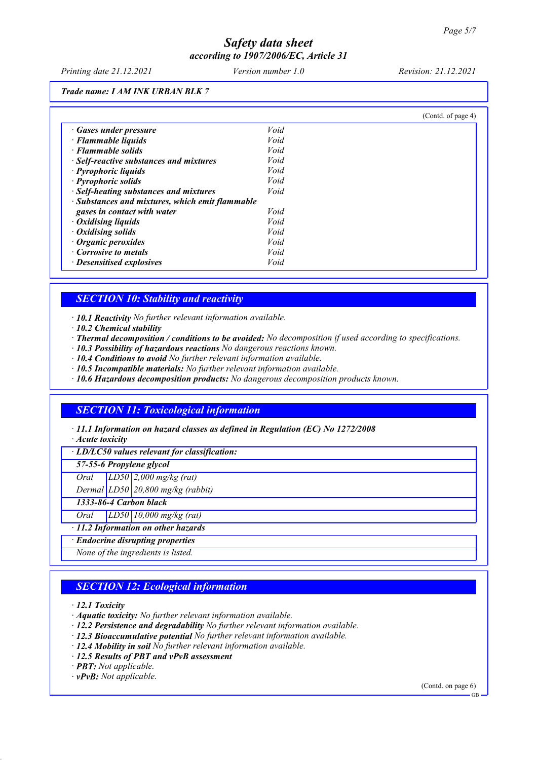*Printing date 21.12.2021 Version number 1.0 Revision: 21.12.2021*

*Trade name: I AM INK URBAN BLK 7*

|                                                 |      | (Cond. of page 4) |
|-------------------------------------------------|------|-------------------|
| · Gases under pressure                          | Void |                   |
| $\cdot$ Flammable liquids                       | Void |                   |
| · Flammable solids                              | Void |                   |
| · Self-reactive substances and mixtures         | Void |                   |
| · Pyrophoric liquids                            | Void |                   |
| · Pyrophoric solids                             | Void |                   |
| · Self-heating substances and mixtures          | Void |                   |
| · Substances and mixtures, which emit flammable |      |                   |
| gases in contact with water                     | Void |                   |
| Oxidising liquids                               | Void |                   |
| $\cdot$ Oxidising solids                        | Void |                   |
| $\cdot$ Organic peroxides                       | Void |                   |
| Corrosive to metals                             | Void |                   |
| · Desensitised explosives                       | Void |                   |

### *SECTION 10: Stability and reactivity*

*· 10.1 Reactivity No further relevant information available.*

- *· 10.2 Chemical stability*
- *· Thermal decomposition / conditions to be avoided: No decomposition if used according to specifications.*
- *· 10.3 Possibility of hazardous reactions No dangerous reactions known.*
- *· 10.4 Conditions to avoid No further relevant information available.*
- *· 10.5 Incompatible materials: No further relevant information available.*
- *· 10.6 Hazardous decomposition products: No dangerous decomposition products known.*

### *SECTION 11: Toxicological information*

*· 11.1 Information on hazard classes as defined in Regulation (EC) No 1272/2008*

*· Acute toxicity*

*· LD/LC50 values relevant for classification:*

*57-55-6 Propylene glycol*

*Oral LD50 2,000 mg/kg (rat)*

*Dermal LD50 20,800 mg/kg (rabbit)*

*1333-86-4 Carbon black*

*Oral LD50 10,000 mg/kg (rat)*

*· 11.2 Information on other hazards*

*· Endocrine disrupting properties*

*None of the ingredients is listed.*

## *SECTION 12: Ecological information*

*· 12.1 Toxicity*

- *· Aquatic toxicity: No further relevant information available.*
- *· 12.2 Persistence and degradability No further relevant information available.*
- *· 12.3 Bioaccumulative potential No further relevant information available.*
- *· 12.4 Mobility in soil No further relevant information available.*
- *· 12.5 Results of PBT and vPvB assessment*
- *· PBT: Not applicable.*

*· vPvB: Not applicable.*

(Contd. on page 6)

GB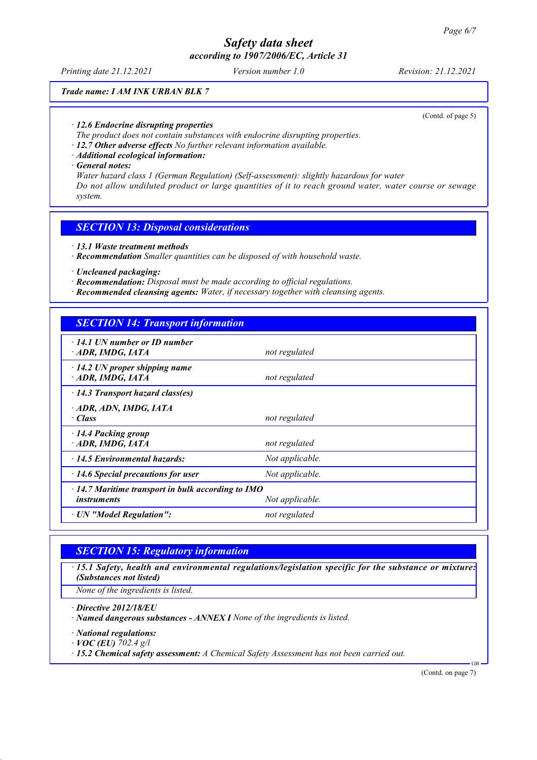*Printing date 21.12.2021 Version number 1.0 Revision: 21.12.2021*

*Trade name: I AM INK URBAN BLK 7*

(Contd. of page 5)

- *· 12.6 Endocrine disrupting properties*
- *The product does not contain substances with endocrine disrupting properties.*
- *· 12.7 Other adverse effects No further relevant information available.*
- *· Additional ecological information:*

*· General notes:*

*Water hazard class 1 (German Regulation) (Self-assessment): slightly hazardous for water Do not allow undiluted product or large quantities of it to reach ground water, water course or sewage system.*

#### *SECTION 13: Disposal considerations*

- *· 13.1 Waste treatment methods*
- *· Recommendation Smaller quantities can be disposed of with household waste.*
- *· Uncleaned packaging:*
- *· Recommendation: Disposal must be made according to official regulations.*
- *· Recommended cleansing agents: Water, if necessary together with cleansing agents.*

## *SECTION 14: Transport information*

| $\cdot$ 14.1 UN number or ID number<br>$\cdot$ ADR, IMDG, IATA                                    | not regulated   |
|---------------------------------------------------------------------------------------------------|-----------------|
| $\cdot$ 14.2 UN proper shipping name<br>ADR, IMDG, IATA                                           | not regulated   |
| $\cdot$ 14.3 Transport hazard class(es)                                                           |                 |
| ADR, ADN, IMDG, IATA<br>$\cdot$ Class                                                             | not regulated   |
| 14.4 Packing group<br>$\cdot$ ADR, IMDG, IATA                                                     | not regulated   |
| $\cdot$ 14.5 Environmental hazards:                                                               | Not applicable. |
| $\cdot$ 14.6 Special precautions for user                                                         | Not applicable. |
| $\cdot$ 14.7 Maritime transport in bulk according to IMO<br>Not applicable.<br><i>instruments</i> |                 |
| · UN "Model Regulation":                                                                          | not regulated   |

## *SECTION 15: Regulatory information*

*· 15.1 Safety, health and environmental regulations/legislation specific for the substance or mixture: (Substances not listed)*

*None of the ingredients is listed.*

*· Directive 2012/18/EU*

*· Named dangerous substances - ANNEX I None of the ingredients is listed.*

*· National regulations:*

*· VOC (EU) 702.4 g/l*

*· 15.2 Chemical safety assessment: A Chemical Safety Assessment has not been carried out.*

(Contd. on page 7)

GB